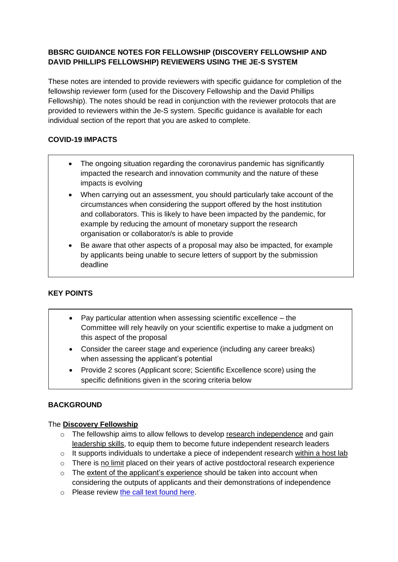## **BBSRC GUIDANCE NOTES FOR FELLOWSHIP (DISCOVERY FELLOWSHIP AND DAVID PHILLIPS FELLOWSHIP) REVIEWERS USING THE JE-S SYSTEM**

These notes are intended to provide reviewers with specific guidance for completion of the fellowship reviewer form (used for the Discovery Fellowship and the David Phillips Fellowship). The notes should be read in conjunction with the reviewer protocols that are provided to reviewers within the Je-S system. Specific guidance is available for each individual section of the report that you are asked to complete.

# **COVID-19 IMPACTS**

- The ongoing situation regarding the coronavirus pandemic has significantly impacted the research and innovation community and the nature of these impacts is evolving
- When carrying out an assessment, you should particularly take account of the circumstances when considering the support offered by the host institution and collaborators. This is likely to have been impacted by the pandemic, for example by reducing the amount of monetary support the research organisation or collaborator/s is able to provide
- Be aware that other aspects of a proposal may also be impacted, for example by applicants being unable to secure letters of support by the submission deadline

# **KEY POINTS**

- Pay particular attention when assessing scientific excellence the Committee will rely heavily on your scientific expertise to make a judgment on this aspect of the proposal
- Consider the career stage and experience (including any career breaks) when assessing the applicant's potential
- Provide 2 scores (Applicant score; Scientific Excellence score) using the specific definitions given in the scoring criteria below

## **BACKGROUND**

## The **Discovery Fellowship**

- o The fellowship aims to allow fellows to develop research independence and gain leadership skills, to equip them to become future independent research leaders
- $\circ$  It supports individuals to undertake a piece of independent research within a host lab
- o There is no limit placed on their years of active postdoctoral research experience
- $\circ$  The extent of the applicant's experience should be taken into account when considering the outputs of applicants and their demonstrations of independence
- o Please review [the call text found here.](https://bbsrc.ukri.org/funding/filter/discovery-fellowships/)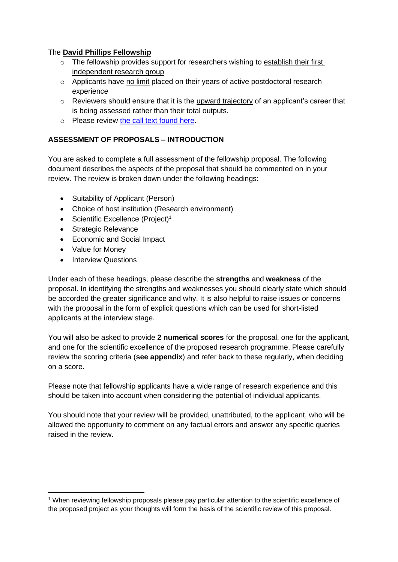#### The **David Phillips Fellowship**

- o The fellowship provides support for researchers wishing to establish their first independent research group
- o Applicants have no limit placed on their years of active postdoctoral research experience
- $\circ$  Reviewers should ensure that it is the upward trajectory of an applicant's career that is being assessed rather than their total outputs.
- o Please review [the call text found here.](https://bbsrc.ukri.org/funding/filter/david-phillips/)

## **ASSESSMENT OF PROPOSALS – INTRODUCTION**

You are asked to complete a full assessment of the fellowship proposal. The following document describes the aspects of the proposal that should be commented on in your review. The review is broken down under the following headings:

- Suitability of Applicant (Person)
- Choice of host institution (Research environment)
- Scientific Excellence (Project)<sup>1</sup>
- Strategic Relevance
- Economic and Social Impact
- Value for Money
- Interview Questions

Under each of these headings, please describe the **strengths** and **weakness** of the proposal. In identifying the strengths and weaknesses you should clearly state which should be accorded the greater significance and why. It is also helpful to raise issues or concerns with the proposal in the form of explicit questions which can be used for short-listed applicants at the interview stage.

You will also be asked to provide **2 numerical scores** for the proposal, one for the applicant, and one for the scientific excellence of the proposed research programme. Please carefully review the scoring criteria (**see appendix**) and refer back to these regularly, when deciding on a score.

Please note that fellowship applicants have a wide range of research experience and this should be taken into account when considering the potential of individual applicants.

You should note that your review will be provided, unattributed, to the applicant, who will be allowed the opportunity to comment on any factual errors and answer any specific queries raised in the review.

<sup>1</sup> When reviewing fellowship proposals please pay particular attention to the scientific excellence of the proposed project as your thoughts will form the basis of the scientific review of this proposal.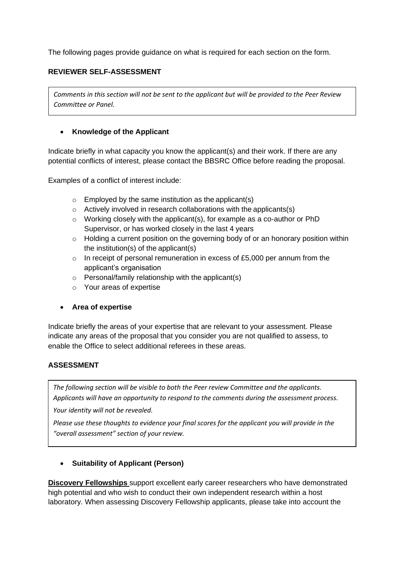The following pages provide guidance on what is required for each section on the form.

## **REVIEWER SELF-ASSESSMENT**

*Comments in this section will not be sent to the applicant but will be provided to the Peer Review Committee or Panel.*

#### • **Knowledge of the Applicant**

Indicate briefly in what capacity you know the applicant(s) and their work. If there are any potential conflicts of interest, please contact the BBSRC Office before reading the proposal.

Examples of a conflict of interest include:

- $\circ$  Employed by the same institution as the applicant(s)
- $\circ$  Actively involved in research collaborations with the applicants(s)
- $\circ$  Working closely with the applicant(s), for example as a co-author or PhD Supervisor, or has worked closely in the last 4 years
- $\circ$  Holding a current position on the governing body of or an honorary position within the institution(s) of the applicant(s)
- $\circ$  In receipt of personal remuneration in excess of £5,000 per annum from the applicant's organisation
- $\circ$  Personal/family relationship with the applicant(s)
- o Your areas of expertise
- **Area of expertise**

Indicate briefly the areas of your expertise that are relevant to your assessment. Please indicate any areas of the proposal that you consider you are not qualified to assess, to enable the Office to select additional referees in these areas.

## **ASSESSMENT**

*The following section will be visible to both the Peer review Committee and the applicants. Applicants will have an opportunity to respond to the comments during the assessment process.*

*Your identity will not be revealed.*

*Please use these thoughts to evidence your final scores for the applicant you will provide in the "overall assessment" section of your review.*

## • **Suitability of Applicant (Person)**

**Discovery Fellowships** support excellent early career researchers who have demonstrated high potential and who wish to conduct their own independent research within a host laboratory. When assessing Discovery Fellowship applicants, please take into account the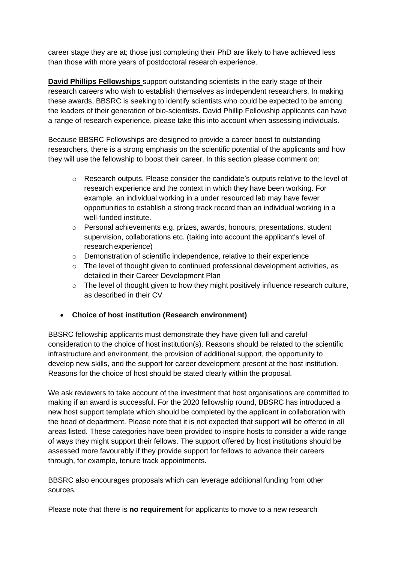career stage they are at; those just completing their PhD are likely to have achieved less than those with more years of postdoctoral research experience.

**David Phillips Fellowships** support outstanding scientists in the early stage of their research careers who wish to establish themselves as independent researchers. In making these awards, BBSRC is seeking to identify scientists who could be expected to be among the leaders of their generation of bio-scientists. David Phillip Fellowship applicants can have a range of research experience, please take this into account when assessing individuals.

Because BBSRC Fellowships are designed to provide a career boost to outstanding researchers, there is a strong emphasis on the scientific potential of the applicants and how they will use the fellowship to boost their career. In this section please comment on:

- o Research outputs. Please consider the candidate's outputs relative to the level of research experience and the context in which they have been working. For example, an individual working in a under resourced lab may have fewer opportunities to establish a strong track record than an individual working in a well-funded institute.
- o Personal achievements e.g. prizes, awards, honours, presentations, student supervision, collaborations etc. (taking into account the applicant's level of research experience)
- $\circ$  Demonstration of scientific independence, relative to their experience
- $\circ$  The level of thought given to continued professional development activities, as detailed in their Career Development Plan
- o The level of thought given to how they might positively influence research culture, as described in their CV
- **Choice of host institution (Research environment)**

BBSRC fellowship applicants must demonstrate they have given full and careful consideration to the choice of host institution(s). Reasons should be related to the scientific infrastructure and environment, the provision of additional support, the opportunity to develop new skills, and the support for career development present at the host institution. Reasons for the choice of host should be stated clearly within the proposal.

We ask reviewers to take account of the investment that host organisations are committed to making if an award is successful. For the 2020 fellowship round, BBSRC has introduced a new host support template which should be completed by the applicant in collaboration with the head of department. Please note that it is not expected that support will be offered in all areas listed. These categories have been provided to inspire hosts to consider a wide range of ways they might support their fellows. The support offered by host institutions should be assessed more favourably if they provide support for fellows to advance their careers through, for example, tenure track appointments.

BBSRC also encourages proposals which can leverage additional funding from other sources.

Please note that there is **no requirement** for applicants to move to a new research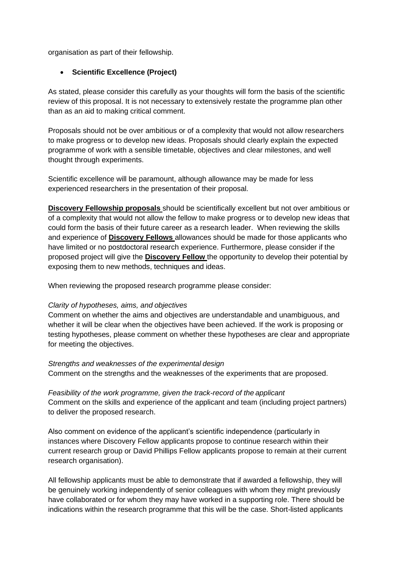organisation as part of their fellowship.

## • **Scientific Excellence (Project)**

As stated, please consider this carefully as your thoughts will form the basis of the scientific review of this proposal. It is not necessary to extensively restate the programme plan other than as an aid to making critical comment.

Proposals should not be over ambitious or of a complexity that would not allow researchers to make progress or to develop new ideas. Proposals should clearly explain the expected programme of work with a sensible timetable, objectives and clear milestones, and well thought through experiments.

Scientific excellence will be paramount, although allowance may be made for less experienced researchers in the presentation of their proposal.

**Discovery Fellowship proposals** should be scientifically excellent but not over ambitious or of a complexity that would not allow the fellow to make progress or to develop new ideas that could form the basis of their future career as a research leader. When reviewing the skills and experience of **Discovery Fellows** allowances should be made for those applicants who have limited or no postdoctoral research experience. Furthermore, please consider if the proposed project will give the **Discovery Fellow** the opportunity to develop their potential by exposing them to new methods, techniques and ideas.

When reviewing the proposed research programme please consider:

## *Clarity of hypotheses, aims, and objectives*

Comment on whether the aims and objectives are understandable and unambiguous, and whether it will be clear when the objectives have been achieved. If the work is proposing or testing hypotheses, please comment on whether these hypotheses are clear and appropriate for meeting the objectives.

#### *Strengths and weaknesses of the experimental design*

Comment on the strengths and the weaknesses of the experiments that are proposed.

*Feasibility of the work programme, given the track-record of the applicant* Comment on the skills and experience of the applicant and team (including project partners) to deliver the proposed research.

Also comment on evidence of the applicant's scientific independence (particularly in instances where Discovery Fellow applicants propose to continue research within their current research group or David Phillips Fellow applicants propose to remain at their current research organisation).

All fellowship applicants must be able to demonstrate that if awarded a fellowship, they will be genuinely working independently of senior colleagues with whom they might previously have collaborated or for whom they may have worked in a supporting role. There should be indications within the research programme that this will be the case. Short-listed applicants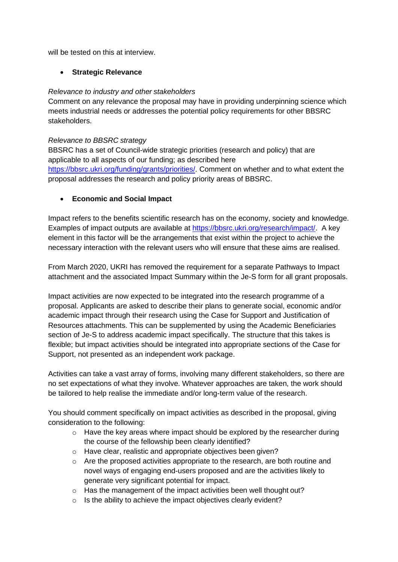will be tested on this at interview.

## • **Strategic Relevance**

#### *Relevance to industry and other stakeholders*

Comment on any relevance the proposal may have in providing underpinning science which meets industrial needs or addresses the potential policy requirements for other BBSRC stakeholders.

#### *Relevance to BBSRC strategy*

BBSRC has a set of Council-wide strategic priorities (research and policy) that are applicable to all aspects of our funding; as described here [https://bbsrc.ukri.org/funding/grants/priorities/.](https://bbsrc.ukri.org/funding/grants/priorities/) Comment on whether and to what extent the proposal addresses the research and policy priority areas of BBSRC.

## • **Economic and Social Impact**

Impact refers to the benefits scientific research has on the economy, society and knowledge. Examples of impact outputs are available at [https://bbsrc.ukri.org/research/impact/.](https://bbsrc.ukri.org/research/impact/) A key element in this factor will be the arrangements that exist within the project to achieve the necessary interaction with the relevant users who will ensure that these aims are realised.

From March 2020, UKRI has removed the requirement for a separate Pathways to Impact attachment and the associated Impact Summary within the Je-S form for all grant proposals.

Impact activities are now expected to be integrated into the research programme of a proposal. Applicants are asked to describe their plans to generate social, economic and/or academic impact through their research using the Case for Support and Justification of Resources attachments. This can be supplemented by using the Academic Beneficiaries section of Je-S to address academic impact specifically. The structure that this takes is flexible; but impact activities should be integrated into appropriate sections of the Case for Support, not presented as an independent work package.

Activities can take a vast array of forms, involving many different stakeholders, so there are no set expectations of what they involve. Whatever approaches are taken, the work should be tailored to help realise the immediate and/or long-term value of the research.

You should comment specifically on impact activities as described in the proposal, giving consideration to the following:

- $\circ$  Have the key areas where impact should be explored by the researcher during the course of the fellowship been clearly identified?
- o Have clear, realistic and appropriate objectives been given?
- $\circ$  Are the proposed activities appropriate to the research, are both routine and novel ways of engaging end-users proposed and are the activities likely to generate very significant potential for impact.
- o Has the management of the impact activities been well thought out?
- o Is the ability to achieve the impact objectives clearly evident?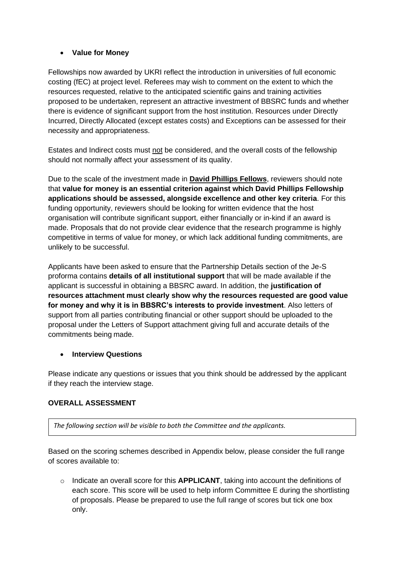## • **Value for Money**

Fellowships now awarded by UKRI reflect the introduction in universities of full economic costing (fEC) at project level. Referees may wish to comment on the extent to which the resources requested, relative to the anticipated scientific gains and training activities proposed to be undertaken, represent an attractive investment of BBSRC funds and whether there is evidence of significant support from the host institution. Resources under Directly Incurred, Directly Allocated (except estates costs) and Exceptions can be assessed for their necessity and appropriateness.

Estates and Indirect costs must not be considered, and the overall costs of the fellowship should not normally affect your assessment of its quality.

Due to the scale of the investment made in **David Phillips Fellows**, reviewers should note that **value for money is an essential criterion against which David Phillips Fellowship applications should be assessed, alongside excellence and other key criteria**. For this funding opportunity, reviewers should be looking for written evidence that the host organisation will contribute significant support, either financially or in-kind if an award is made. Proposals that do not provide clear evidence that the research programme is highly competitive in terms of value for money, or which lack additional funding commitments, are unlikely to be successful.

Applicants have been asked to ensure that the Partnership Details section of the Je-S proforma contains **details of all institutional support** that will be made available if the applicant is successful in obtaining a BBSRC award. In addition, the **justification of resources attachment must clearly show why the resources requested are good value for money and why it is in BBSRC's interests to provide investment**. Also letters of support from all parties contributing financial or other support should be uploaded to the proposal under the Letters of Support attachment giving full and accurate details of the commitments being made.

## • **Interview Questions**

Please indicate any questions or issues that you think should be addressed by the applicant if they reach the interview stage.

## **OVERALL ASSESSMENT**

*The following section will be visible to both the Committee and the applicants.* 

Based on the scoring schemes described in Appendix below, please consider the full range of scores available to:

o Indicate an overall score for this **APPLICANT**, taking into account the definitions of each score. This score will be used to help inform Committee E during the shortlisting of proposals. Please be prepared to use the full range of scores but tick one box only.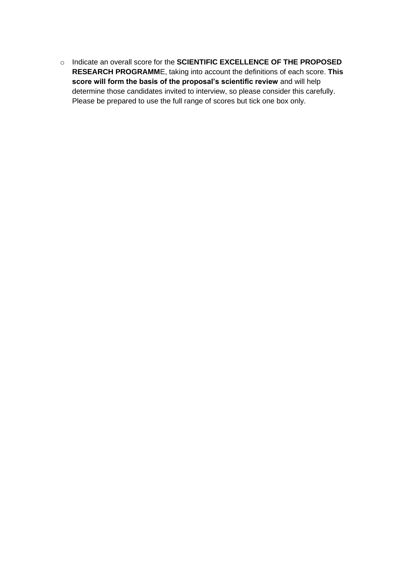o Indicate an overall score for the **SCIENTIFIC EXCELLENCE OF THE PROPOSED RESEARCH PROGRAMM**E, taking into account the definitions of each score. **This score will form the basis of the proposal's scientific review** and will help determine those candidates invited to interview, so please consider this carefully. Please be prepared to use the full range of scores but tick one box only.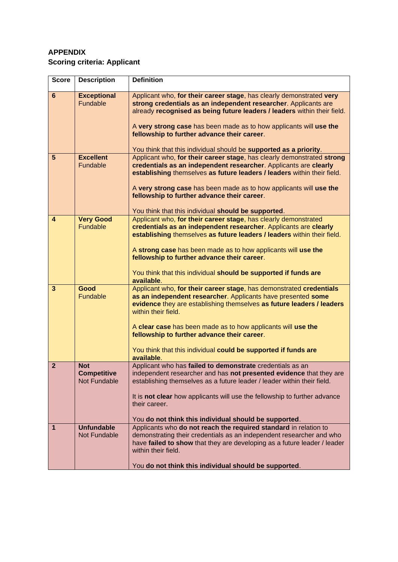# **APPENDIX Scoring criteria: Applicant**

| <b>Score</b>            | <b>Description</b>                                      | <b>Definition</b>                                                                                                                                                                                                                                                                                                                                                                                                                  |
|-------------------------|---------------------------------------------------------|------------------------------------------------------------------------------------------------------------------------------------------------------------------------------------------------------------------------------------------------------------------------------------------------------------------------------------------------------------------------------------------------------------------------------------|
| 6                       | <b>Exceptional</b><br>Fundable                          | Applicant who, for their career stage, has clearly demonstrated very<br>strong credentials as an independent researcher. Applicants are<br>already recognised as being future leaders / leaders within their field.<br>A very strong case has been made as to how applicants will use the<br>fellowship to further advance their career.<br>You think that this individual should be supported as a priority.                      |
| 5                       | <b>Excellent</b><br><b>Fundable</b>                     | Applicant who, for their career stage, has clearly demonstrated strong<br>credentials as an independent researcher. Applicants are clearly<br>establishing themselves as future leaders / leaders within their field.<br>A very strong case has been made as to how applicants will use the<br>fellowship to further advance their career.<br>You think that this individual should be supported.                                  |
| $\overline{\mathbf{4}}$ | <b>Very Good</b><br><b>Fundable</b>                     | Applicant who, for their career stage, has clearly demonstrated<br>credentials as an independent researcher. Applicants are clearly<br>establishing themselves as future leaders / leaders within their field.<br>A strong case has been made as to how applicants will use the<br>fellowship to further advance their career.<br>You think that this individual should be supported if funds are<br>available.                    |
| 3                       | Good<br>Fundable                                        | Applicant who, for their career stage, has demonstrated credentials<br>as an independent researcher. Applicants have presented some<br>evidence they are establishing themselves as future leaders / leaders<br>within their field.<br>A clear case has been made as to how applicants will use the<br>fellowship to further advance their career.<br>You think that this individual could be supported if funds are<br>available. |
| $\mathbf{2}$            | <b>Not</b><br><b>Competitive</b><br><b>Not Fundable</b> | Applicant who has failed to demonstrate credentials as an<br>independent researcher and has not presented evidence that they are<br>establishing themselves as a future leader / leader within their field.<br>It is not clear how applicants will use the fellowship to further advance<br>their career.<br>You do not think this individual should be supported.                                                                 |
| $\mathbf{1}$            | <b>Unfundable</b><br><b>Not Fundable</b>                | Applicants who do not reach the required standard in relation to<br>demonstrating their credentials as an independent researcher and who<br>have failed to show that they are developing as a future leader / leader<br>within their field.<br>You do not think this individual should be supported.                                                                                                                               |